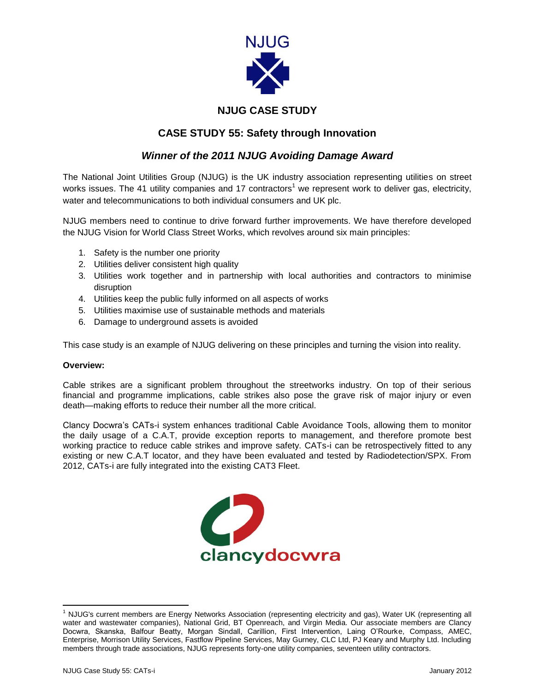

# **NJUG CASE STUDY**

# **CASE STUDY 55: Safety through Innovation**

## *Winner of the 2011 NJUG Avoiding Damage Award*

The National Joint Utilities Group (NJUG) is the UK industry association representing utilities on street works issues. The 41 utility companies and 17 contractors<sup>1</sup> we represent work to deliver gas, electricity, water and telecommunications to both individual consumers and UK plc.

NJUG members need to continue to drive forward further improvements. We have therefore developed the NJUG Vision for World Class Street Works, which revolves around six main principles:

- 1. Safety is the number one priority
- 2. Utilities deliver consistent high quality
- 3. Utilities work together and in partnership with local authorities and contractors to minimise disruption
- 4. Utilities keep the public fully informed on all aspects of works
- 5. Utilities maximise use of sustainable methods and materials
- 6. Damage to underground assets is avoided

This case study is an example of NJUG delivering on these principles and turning the vision into reality.

#### **Overview:**

Cable strikes are a significant problem throughout the streetworks industry. On top of their serious financial and programme implications, cable strikes also pose the grave risk of major injury or even death—making efforts to reduce their number all the more critical.

Clancy Docwra's CATs-i system enhances traditional Cable Avoidance Tools, allowing them to monitor the daily usage of a C.A.T, provide exception reports to management, and therefore promote best working practice to reduce cable strikes and improve safety. CATs-i can be retrospectively fitted to any existing or new C.A.T locator, and they have been evaluated and tested by Radiodetection/SPX. From 2012, CATs-i are fully integrated into the existing CAT3 Fleet.



 $\overline{a}$ 

<sup>&</sup>lt;sup>1</sup> NJUG's current members are Energy Networks Association (representing electricity and gas), Water UK (representing all water and wastewater companies), National Grid, BT Openreach, and Virgin Media. Our associate members are Clancy Docwra, Skanska, Balfour Beatty, Morgan Sindall, Carillion, First Intervention, Laing O'Rourke, Compass, AMEC, Enterprise, Morrison Utility Services, Fastflow Pipeline Services, May Gurney, CLC Ltd, PJ Keary and Murphy Ltd. Including members through trade associations, NJUG represents forty-one utility companies, seventeen utility contractors.